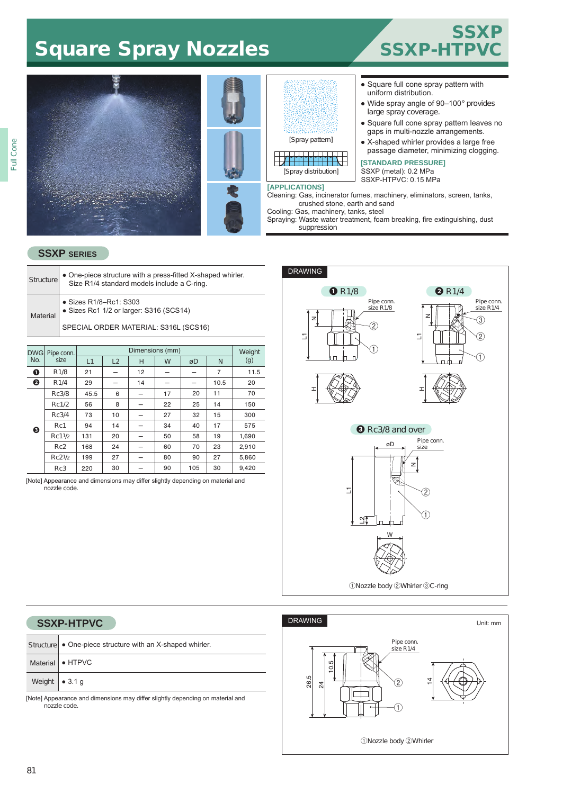## Square Spray Nozzles SSSXP-HT





#### ● Square full cone spray pattern with uniform distribution.

- Wide spray angle of 90–100° provides large spray coverage.
- Square full cone spray pattern leaves no gaps in multi-nozzle arrangements.
- X-shaped whirler provides a large free passage diameter, minimizing clogging.

### **[STANDARD PRESSURE]**

SSXP (metal): 0.2 MPa SSXP-HTPVC: 0.15 MPa

Spraying: Waste water treatment, foam breaking, fire extinguishing, dust

#### **SSXP SERIES**

| • One-piece structure with a press-fitted X-shaped whirler.<br><b>Structure</b><br>Size R1/4 standard models include a C-ring. |                |  |                                                                   |        |  |  |  |  |
|--------------------------------------------------------------------------------------------------------------------------------|----------------|--|-------------------------------------------------------------------|--------|--|--|--|--|
| Material                                                                                                                       |                |  | • Sizes R1/8-Rc1: S303<br>• Sizes Rc1 1/2 or larger: S316 (SCS14) |        |  |  |  |  |
|                                                                                                                                |                |  | SPECIAL ORDER MATERIAL: S316L (SCS16)                             |        |  |  |  |  |
|                                                                                                                                |                |  |                                                                   |        |  |  |  |  |
|                                                                                                                                | DWG Pipe conn. |  | Dimensions (mm)                                                   | Weight |  |  |  |  |

|         | DWG Pipe conn.   |      | <i>vveight</i> |    |    |     |      |       |  |
|---------|------------------|------|----------------|----|----|-----|------|-------|--|
| No.     | size             | L1   | L2             | н  | W  | øD  | N    | (g)   |  |
| $\bf o$ | R <sub>1/8</sub> | 21   |                | 12 |    |     | 7    | 11.5  |  |
| ❷       | R1/4             | 29   |                | 14 |    |     | 10.5 | 20    |  |
|         | Rc3/8            | 45.5 | 6              |    | 17 | 20  | 11   | 70    |  |
| ❸       | Rc1/2            | 56   | 8              |    | 22 | 25  | 14   | 150   |  |
|         | Rc3/4            | 73   | 10             |    | 27 | 32  | 15   | 300   |  |
|         | Rc1              | 94   | 14             |    | 34 | 40  | 17   | 575   |  |
|         | Rc11/2           | 131  | 20             |    | 50 | 58  | 19   | 1,690 |  |
|         | Rc <sub>2</sub>  | 168  | 24             |    | 60 | 70  | 23   | 2,910 |  |
|         | Rc21/2           | 199  | 27             |    | 80 | 90  | 27   | 5,860 |  |
|         | Rc3              | 220  | 30             |    | 90 | 105 | 30   | 9.420 |  |

[Note] Appearance and dimensions may differ slightly depending on material and nozzle code.



#### **SSXP-HTPVC** ● One-piece structure with an X-shaped whirler.  $\bullet$  HTPVC ● 3.1 g **Structure** Material Weight

[Note] Appearance and dimensions may differ slightly depending on material and nozzle code.